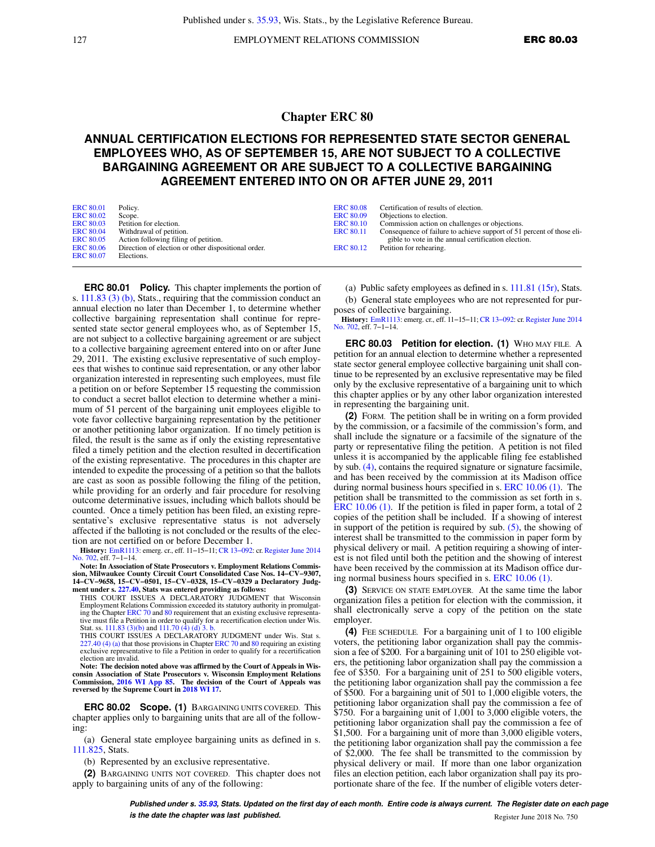127 **EMPLOYMENT RELATIONS COMMISSION ERC 80.03** 

## **Chapter ERC 80**

## **ANNUAL CERTIFICATION ELECTIONS FOR REPRESENTED STATE SECTOR GENERAL EMPLOYEES WHO, AS OF SEPTEMBER 15, ARE NOT SUBJECT TO A COLLECTIVE BARGAINING AGREEMENT OR ARE SUBJECT TO A COLLECTIVE BARGAINING AGREEMENT ENTERED INTO ON OR AFTER JUNE 29, 2011**

| <b>ERC 80.01</b> | Policy.                                             | <b>ERC 80.08</b> | Certification of results of election.                                 |
|------------------|-----------------------------------------------------|------------------|-----------------------------------------------------------------------|
| <b>ERC 80.02</b> | Scope.                                              | <b>ERC 80.09</b> | Objections to election.                                               |
| <b>ERC 80.03</b> | Petition for election.                              | <b>ERC 80.10</b> | Commission action on challenges or objections.                        |
| <b>ERC 80.04</b> | Withdrawal of petition.                             | <b>ERC 80.11</b> | Consequence of failure to achieve support of 51 percent of those eli- |
| <b>ERC 80.05</b> | Action following filing of petition.                |                  | gible to vote in the annual certification election.                   |
| <b>ERC 80.06</b> | Direction of election or other dispositional order. | <b>ERC 80.12</b> | Petition for rehearing.                                               |
| <b>ERC 80.07</b> | Elections.                                          |                  |                                                                       |

**ERC 80.01 Policy.** This chapter implements the portion of s. [111.83 \(3\) \(b\)](https://docs.legis.wisconsin.gov/document/statutes/111.83(3)(b)), Stats., requiring that the commission conduct an annual election no later than December 1, to determine whether collective bargaining representation shall continue for represented state sector general employees who, as of September 15, are not subject to a collective bargaining agreement or are subject to a collective bargaining agreement entered into on or after June 29, 2011. The existing exclusive representative of such employees that wishes to continue said representation, or any other labor organization interested in representing such employees, must file a petition on or before September 15 requesting the commission to conduct a secret ballot election to determine whether a minimum of 51 percent of the bargaining unit employees eligible to vote favor collective bargaining representation by the petitioner or another petitioning labor organization. If no timely petition is filed, the result is the same as if only the existing representative filed a timely petition and the election resulted in decertification of the existing representative. The procedures in this chapter are intended to expedite the processing of a petition so that the ballots are cast as soon as possible following the filing of the petition, while providing for an orderly and fair procedure for resolving outcome determinative issues, including which ballots should be counted. Once a timely petition has been filed, an existing representative's exclusive representative status is not adversely affected if the balloting is not concluded or the results of the election are not certified on or before December 1.

**History:** [EmR1113](https://docs.legis.wisconsin.gov/document/emergencyrules/EmR1113): emerg. cr., eff. 11−15−11; [CR 13−092](https://docs.legis.wisconsin.gov/document/cr/2013/92): cr. [Register June 2014](https://docs.legis.wisconsin.gov/document/register/702/B/toc) [No. 702](https://docs.legis.wisconsin.gov/document/register/702/B/toc), eff. 7–1–14.<br>**Note: In Association of State Prosecutors v. Employment Relations Commis-**

**sion, Milwaukee County Circuit Court Consolidated Case Nos. 14−CV−9307, 14−CV−9658, 15−CV−0501, 15−CV−0328, 15−CV−0329 a Declaratory Judgment under s. [227.40,](https://docs.legis.wisconsin.gov/document/statutes/227.40) Stats was entered providing as follows:**

THIS COURT ISSUES A DECLARATORY JUDGMENT that Wisconsin Employment Relations Commission exceeded its statutory authority in promulgat-ing the Chapter [ERC 70](https://docs.legis.wisconsin.gov/document/administrativecode/ch.%20ERC%2070) and [80](https://docs.legis.wisconsin.gov/document/administrativecode/ch.%20ERC%2080) requirement that an existing exclusive representative must file a Petition in order to qualify for a recertification election under Wis. Stat. ss. [111.83 \(3\)\(b\)](https://docs.legis.wisconsin.gov/document/statutes/111.83(3)(b)) and [111.70 \(4\) \(d\) 3. b.](https://docs.legis.wisconsin.gov/document/statutes/111.70(4)(d)3.b.) THIS COURT ISSUES A DECLARATORY JUDGMENT under Wis. Stat s.

[227.40 \(4\) \(a\)](https://docs.legis.wisconsin.gov/document/statutes/227.40(4)(a)) that those provisions in Chapter [ERC 70](https://docs.legis.wisconsin.gov/document/administrativecode/ch.%20ERC%2070) and [80](https://docs.legis.wisconsin.gov/document/administrativecode/ch.%20ERC%2080) requiring an existing exclusive representative to file a Petition in order to qualify for a recertification election are invalid.

**Note: The decision noted above was affirmed by the Court of Appeals in Wisconsin Association of State Prosecutors v. Wisconsin Employment Relations Commission, [2016 WI App 85.](https://docs.legis.wisconsin.gov/document/courts/2016%20WI%20App%2085) The decision of the Court of Appeals was reversed by the Supreme Court in [2018 WI 17](https://docs.legis.wisconsin.gov/document/courts/2018%20WI%2017).**

**ERC 80.02 Scope. (1)** BARGAINING UNITS COVERED. This chapter applies only to bargaining units that are all of the following:

(a) General state employee bargaining units as defined in s. [111.825,](https://docs.legis.wisconsin.gov/document/statutes/111.825) Stats.

(b) Represented by an exclusive representative.

**(2)** BARGAINING UNITS NOT COVERED. This chapter does not apply to bargaining units of any of the following:

(a) Public safety employees as defined in s. [111.81 \(15r\),](https://docs.legis.wisconsin.gov/document/statutes/111.81(15r)) Stats. (b) General state employees who are not represented for pur-

poses of collective bargaining. **History:** [EmR1113](https://docs.legis.wisconsin.gov/document/emergencyrules/EmR1113): emerg. cr., eff. 11−15−11; [CR 13−092](https://docs.legis.wisconsin.gov/document/cr/2013/92): cr. [Register June 2014](https://docs.legis.wisconsin.gov/document/register/702/B/toc) [No. 702,](https://docs.legis.wisconsin.gov/document/register/702/B/toc) eff. 7−1−14.

**ERC 80.03 Petition for election. (1)** WHO MAY FILE. A petition for an annual election to determine whether a represented state sector general employee collective bargaining unit shall continue to be represented by an exclusive representative may be filed only by the exclusive representative of a bargaining unit to which this chapter applies or by any other labor organization interested in representing the bargaining unit.

**(2)** FORM. The petition shall be in writing on a form provided by the commission, or a facsimile of the commission's form, and shall include the signature or a facsimile of the signature of the party or representative filing the petition. A petition is not filed unless it is accompanied by the applicable filing fee established by sub.  $(4)$ , contains the required signature or signature facsimile, and has been received by the commission at its Madison office during normal business hours specified in s. [ERC 10.06 \(1\).](https://docs.legis.wisconsin.gov/document/administrativecode/ERC%2010.06(1)) The petition shall be transmitted to the commission as set forth in s. [ERC 10.06 \(1\)](https://docs.legis.wisconsin.gov/document/administrativecode/ERC%2010.06(1)). If the petition is filed in paper form, a total of 2 copies of the petition shall be included. If a showing of interest in support of the petition is required by sub. [\(5\)](https://docs.legis.wisconsin.gov/document/administrativecode/ERC%2080.03(5)), the showing of interest shall be transmitted to the commission in paper form by physical delivery or mail. A petition requiring a showing of interest is not filed until both the petition and the showing of interest have been received by the commission at its Madison office during normal business hours specified in s. [ERC 10.06 \(1\)](https://docs.legis.wisconsin.gov/document/administrativecode/ERC%2010.06(1)).

**(3)** SERVICE ON STATE EMPLOYER. At the same time the labor organization files a petition for election with the commission, it shall electronically serve a copy of the petition on the state employer.

**(4)** FEE SCHEDULE. For a bargaining unit of 1 to 100 eligible voters, the petitioning labor organization shall pay the commission a fee of \$200. For a bargaining unit of 101 to 250 eligible voters, the petitioning labor organization shall pay the commission a fee of \$350. For a bargaining unit of 251 to 500 eligible voters, the petitioning labor organization shall pay the commission a fee of \$500. For a bargaining unit of 501 to 1,000 eligible voters, the petitioning labor organization shall pay the commission a fee of \$750. For a bargaining unit of 1,001 to 3,000 eligible voters, the petitioning labor organization shall pay the commission a fee of \$1,500. For a bargaining unit of more than 3,000 eligible voters, the petitioning labor organization shall pay the commission a fee of \$2,000. The fee shall be transmitted to the commission by physical delivery or mail. If more than one labor organization files an election petition, each labor organization shall pay its proportionate share of the fee. If the number of eligible voters deter-

**Published under s. [35.93,](https://docs.legis.wisconsin.gov/document/statutes/35.93) Stats. Updated on the first day of each month. Entire code is always current. The Register date on each page is the date the chapter was last published. Compared 10 and 2018 No. 750 Register June 2018 No. 750**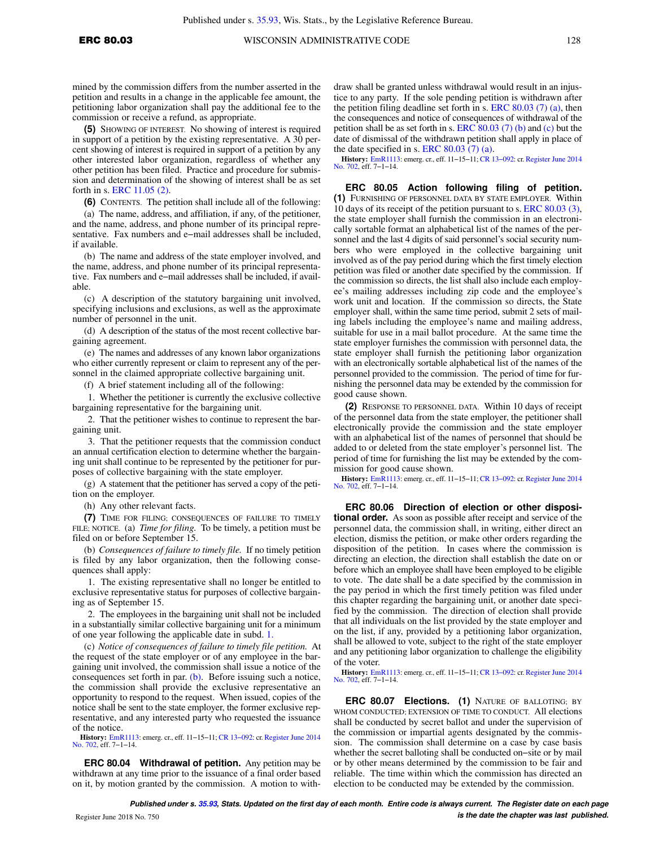mined by the commission differs from the number asserted in the petition and results in a change in the applicable fee amount, the petitioning labor organization shall pay the additional fee to the commission or receive a refund, as appropriate.

**(5)** SHOWING OF INTEREST. No showing of interest is required in support of a petition by the existing representative. A 30 percent showing of interest is required in support of a petition by any other interested labor organization, regardless of whether any other petition has been filed. Practice and procedure for submission and determination of the showing of interest shall be as set forth in s. [ERC 11.05 \(2\).](https://docs.legis.wisconsin.gov/document/administrativecode/ERC%2011.05(2))

**(6)** CONTENTS. The petition shall include all of the following:

(a) The name, address, and affiliation, if any, of the petitioner, and the name, address, and phone number of its principal representative. Fax numbers and e−mail addresses shall be included, if available.

(b) The name and address of the state employer involved, and the name, address, and phone number of its principal representative. Fax numbers and e−mail addresses shall be included, if available.

(c) A description of the statutory bargaining unit involved, specifying inclusions and exclusions, as well as the approximate number of personnel in the unit.

(d) A description of the status of the most recent collective bargaining agreement.

(e) The names and addresses of any known labor organizations who either currently represent or claim to represent any of the personnel in the claimed appropriate collective bargaining unit.

(f) A brief statement including all of the following:

1. Whether the petitioner is currently the exclusive collective bargaining representative for the bargaining unit.

2. That the petitioner wishes to continue to represent the bargaining unit.

3. That the petitioner requests that the commission conduct an annual certification election to determine whether the bargaining unit shall continue to be represented by the petitioner for purposes of collective bargaining with the state employer.

(g) A statement that the petitioner has served a copy of the petition on the employer.

(h) Any other relevant facts.

**(7)** TIME FOR FILING; CONSEQUENCES OF FAILURE TO TIMELY FILE; NOTICE. (a) *Time for filing.* To be timely, a petition must be filed on or before September 15.

(b) *Consequences of failure to timely file.* If no timely petition is filed by any labor organization, then the following consequences shall apply:

1. The existing representative shall no longer be entitled to exclusive representative status for purposes of collective bargaining as of September 15.

2. The employees in the bargaining unit shall not be included in a substantially similar collective bargaining unit for a minimum of one year following the applicable date in subd. [1.](https://docs.legis.wisconsin.gov/document/administrativecode/ERC%2080.03(7)(b)1.)

(c) *Notice of consequences of failure to timely file petition.* At the request of the state employer or of any employee in the bargaining unit involved, the commission shall issue a notice of the consequences set forth in par. [\(b\).](https://docs.legis.wisconsin.gov/document/administrativecode/ERC%2080.03(7)(b)) Before issuing such a notice, the commission shall provide the exclusive representative an opportunity to respond to the request. When issued, copies of the notice shall be sent to the state employer, the former exclusive representative, and any interested party who requested the issuance of the notice.

**History:** [EmR1113](https://docs.legis.wisconsin.gov/document/emergencyrules/EmR1113): emerg. cr., eff. 11−15−11; [CR 13−092](https://docs.legis.wisconsin.gov/document/cr/2013/92): cr. [Register June 2014](https://docs.legis.wisconsin.gov/document/register/702/B/toc) [No. 702](https://docs.legis.wisconsin.gov/document/register/702/B/toc), eff. 7−1−14.

**ERC 80.04 Withdrawal of petition.** Any petition may be withdrawn at any time prior to the issuance of a final order based on it, by motion granted by the commission. A motion to withdraw shall be granted unless withdrawal would result in an injustice to any party. If the sole pending petition is withdrawn after the petition filing deadline set forth in s. [ERC 80.03 \(7\) \(a\)](https://docs.legis.wisconsin.gov/document/administrativecode/ERC%2080.03(7)(a)), then the consequences and notice of consequences of withdrawal of the petition shall be as set forth in s. ERC  $80.03(7)$  (b) and [\(c\)](https://docs.legis.wisconsin.gov/document/administrativecode/ERC%2080.03(7)(c)) but the date of dismissal of the withdrawn petition shall apply in place of the date specified in s. ERC  $80.03$  (7) (a).

**History:** [EmR1113](https://docs.legis.wisconsin.gov/document/emergencyrules/EmR1113): emerg. cr., eff. 11−15−11; [CR 13−092](https://docs.legis.wisconsin.gov/document/cr/2013/92): cr. [Register June 2014](https://docs.legis.wisconsin.gov/document/register/702/B/toc) [No. 702,](https://docs.legis.wisconsin.gov/document/register/702/B/toc) eff. 7−1−14.

**ERC 80.05 Action following filing of petition. (1)** FURNISHING OF PERSONNEL DATA BY STATE EMPLOYER. Within 10 days of its receipt of the petition pursuant to s. [ERC 80.03 \(3\),](https://docs.legis.wisconsin.gov/document/administrativecode/ERC%2080.03(3)) the state employer shall furnish the commission in an electronically sortable format an alphabetical list of the names of the personnel and the last 4 digits of said personnel's social security numbers who were employed in the collective bargaining unit involved as of the pay period during which the first timely election petition was filed or another date specified by the commission. If the commission so directs, the list shall also include each employee's mailing addresses including zip code and the employee's work unit and location. If the commission so directs, the State employer shall, within the same time period, submit 2 sets of mailing labels including the employee's name and mailing address, suitable for use in a mail ballot procedure. At the same time the state employer furnishes the commission with personnel data, the state employer shall furnish the petitioning labor organization with an electronically sortable alphabetical list of the names of the personnel provided to the commission. The period of time for furnishing the personnel data may be extended by the commission for good cause shown.

**(2)** RESPONSE TO PERSONNEL DATA. Within 10 days of receipt of the personnel data from the state employer, the petitioner shall electronically provide the commission and the state employer with an alphabetical list of the names of personnel that should be added to or deleted from the state employer's personnel list. The period of time for furnishing the list may be extended by the commission for good cause shown.

**History:** [EmR1113](https://docs.legis.wisconsin.gov/document/emergencyrules/EmR1113): emerg. cr., eff. 11−15−11; [CR 13−092](https://docs.legis.wisconsin.gov/document/cr/2013/92): cr. [Register June 2014](https://docs.legis.wisconsin.gov/document/register/702/B/toc) [No. 702,](https://docs.legis.wisconsin.gov/document/register/702/B/toc) eff. 7−1−14.

**ERC 80.06 Direction of election or other dispositional order.** As soon as possible after receipt and service of the personnel data, the commission shall, in writing, either direct an election, dismiss the petition, or make other orders regarding the disposition of the petition. In cases where the commission is directing an election, the direction shall establish the date on or before which an employee shall have been employed to be eligible to vote. The date shall be a date specified by the commission in the pay period in which the first timely petition was filed under this chapter regarding the bargaining unit, or another date specified by the commission. The direction of election shall provide that all individuals on the list provided by the state employer and on the list, if any, provided by a petitioning labor organization, shall be allowed to vote, subject to the right of the state employer and any petitioning labor organization to challenge the eligibility of the voter.

**History:** [EmR1113](https://docs.legis.wisconsin.gov/document/emergencyrules/EmR1113): emerg. cr., eff. 11−15−11; [CR 13−092](https://docs.legis.wisconsin.gov/document/cr/2013/92): cr. [Register June 2014](https://docs.legis.wisconsin.gov/document/register/702/B/toc) [No. 702,](https://docs.legis.wisconsin.gov/document/register/702/B/toc) eff. 7−1−14.

**ERC 80.07 Elections. (1)** NATURE OF BALLOTING; BY WHOM CONDUCTED; EXTENSION OF TIME TO CONDUCT. All elections shall be conducted by secret ballot and under the supervision of the commission or impartial agents designated by the commission. The commission shall determine on a case by case basis whether the secret balloting shall be conducted on−site or by mail or by other means determined by the commission to be fair and reliable. The time within which the commission has directed an election to be conducted may be extended by the commission.

**Published under s. [35.93,](https://docs.legis.wisconsin.gov/document/statutes/35.93) Stats. Updated on the first day of each month. Entire code is always current. The Register date on each page** Register June 2018 No. 750 **and 2018 No. 750 and 2018 No. 750 and 2018 No. 750 and 2018 No. 750 and 2018 No. 750 and 2018 No. 750 and 2018 No. 750 and 2018 No. 750 and 2019 No. 750 and 2019 No. 750 and 2019 No. 750 and 201**